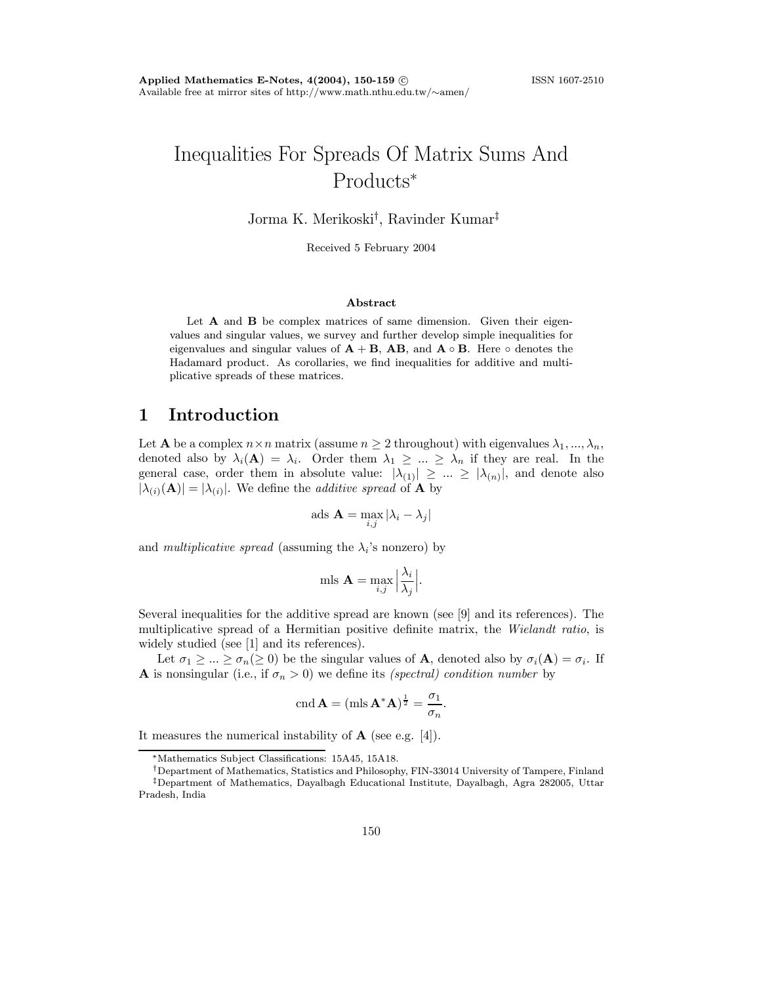# Inequalities For Spreads Of Matrix Sums And Products<sup>∗</sup>

Jorma K. Merikoski† , Ravinder Kumar‡

Received 5 February 2004

#### Abstract

Let  $A$  and  $B$  be complex matrices of same dimension. Given their eigenvalues and singular values, we survey and further develop simple inequalities for eigenvalues and singular values of  $A + B$ ,  $AB$ , and  $A \circ B$ . Here  $\circ$  denotes the Hadamard product. As corollaries, we find inequalities for additive and multiplicative spreads of these matrices.

#### 1 Introduction

Let **A** be a complex  $n \times n$  matrix (assume  $n \geq 2$  throughout) with eigenvalues  $\lambda_1, ..., \lambda_n$ , denoted also by  $\lambda_i(\mathbf{A}) = \lambda_i$ . Order them  $\lambda_1 \geq \ldots \geq \lambda_n$  if they are real. In the general case, order them in absolute value:  $|\lambda_{(1)}| \geq ... \geq |\lambda_{(n)}|$ , and denote also  $|\lambda_{(i)}(A)| = |\lambda_{(i)}|$ . We define the *additive spread* of **A** by

ads 
$$
\mathbf{A} = \max_{i,j} |\lambda_i - \lambda_j|
$$

and multiplicative spread (assuming the  $\lambda_i$ 's nonzero) by

$$
\text{mls }\mathbf{A} = \max_{i,j} \left| \frac{\lambda_i}{\lambda_j} \right|.
$$

Several inequalities for the additive spread are known (see [9] and its references). The multiplicative spread of a Hermitian positive definite matrix, the Wielandt ratio, is widely studied (see [1] and its references).

Let  $\sigma_1 \geq ... \geq \sigma_n (\geq 0)$  be the singular values of **A**, denoted also by  $\sigma_i(\mathbf{A}) = \sigma_i$ . If **A** is nonsingular (i.e., if  $\sigma_n > 0$ ) we define its *(spectral) condition number* by

$$
\operatorname{cnd} \mathbf{A} = (\operatorname{mls} \mathbf{A}^* \mathbf{A})^{\frac{1}{2}} = \frac{\sigma_1}{\sigma_n}.
$$

It measures the numerical instability of  $A$  (see e.g. [4]).

<sup>∗</sup>Mathematics Subject Classifications: 15A45, 15A18.

<sup>†</sup>Department of Mathematics, Statistics and Philosophy, FIN-33014 University of Tampere, Finland ‡Department of Mathematics, Dayalbagh Educational Institute, Dayalbagh, Agra 282005, Uttar Pradesh, India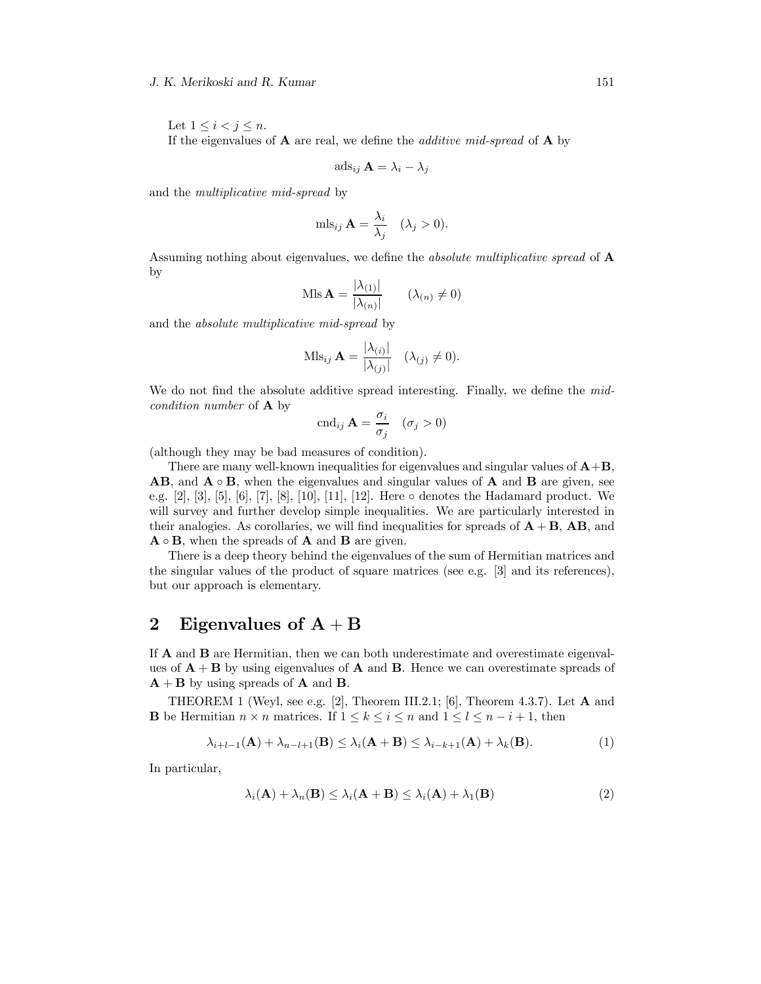#### J. K. Merikoski and R. Kumar 151

Let  $1 \leq i < j \leq n$ . If the eigenvalues of **A** are real, we define the *additive mid-spread* of **A** by

$$
\mathrm{ads}_{ij} \mathbf{A} = \lambda_i - \lambda_j
$$

and the multiplicative mid-spread by

$$
\text{mls}_{ij} \mathbf{A} = \frac{\lambda_i}{\lambda_j} \quad (\lambda_j > 0).
$$

Assuming nothing about eigenvalues, we define the *absolute multiplicative spread* of **A** by

$$
\text{Mls}\,\mathbf{A} = \frac{|\lambda_{(1)}|}{|\lambda_{(n)}|} \qquad (\lambda_{(n)} \neq 0)
$$

and the absolute multiplicative mid-spread by

$$
\mathrm{Mls}_{ij} \mathbf{A} = \frac{|\lambda_{(i)}|}{|\lambda_{(j)}|} \quad (\lambda_{(j)} \neq 0).
$$

We do not find the absolute additive spread interesting. Finally, we define the midcondition number of A by

$$
\operatorname{cnd}_{ij} \mathbf{A} = \frac{\sigma_i}{\sigma_j} \quad (\sigma_j > 0)
$$

(although they may be bad measures of condition).

There are many well-known inequalities for eigenvalues and singular values of  $A+B$ . **AB**, and  $\mathbf{A} \circ \mathbf{B}$ , when the eigenvalues and singular values of  $\mathbf{A}$  and  $\mathbf{B}$  are given, see e.g. [2], [3], [5], [6], [7], [8], [10], [11], [12]. Here ◦ denotes the Hadamard product. We will survey and further develop simple inequalities. We are particularly interested in their analogies. As corollaries, we will find inequalities for spreads of  $A + B$ , AB, and  $\mathbf{A} \circ \mathbf{B}$ , when the spreads of  $\mathbf{A}$  and  $\mathbf{B}$  are given.

There is a deep theory behind the eigenvalues of the sum of Hermitian matrices and the singular values of the product of square matrices (see e.g. [3] and its references), but our approach is elementary.

## 2 Eigenvalues of  $A + B$

If A and B are Hermitian, then we can both underestimate and overestimate eigenvalues of  $A + B$  by using eigenvalues of A and B. Hence we can overestimate spreads of  $A + B$  by using spreads of A and B.

THEOREM 1 (Weyl, see e.g. [2], Theorem III.2.1; [6], Theorem 4.3.7). Let  $\bf{A}$  and **B** be Hermitian  $n \times n$  matrices. If  $1 \leq k \leq i \leq n$  and  $1 \leq l \leq n - i + 1$ , then

$$
\lambda_{i+l-1}(\mathbf{A}) + \lambda_{n-l+1}(\mathbf{B}) \leq \lambda_i(\mathbf{A} + \mathbf{B}) \leq \lambda_{i-k+1}(\mathbf{A}) + \lambda_k(\mathbf{B}).
$$
\n(1)

In particular,

$$
\lambda_i(\mathbf{A}) + \lambda_n(\mathbf{B}) \le \lambda_i(\mathbf{A} + \mathbf{B}) \le \lambda_i(\mathbf{A}) + \lambda_1(\mathbf{B})
$$
\n(2)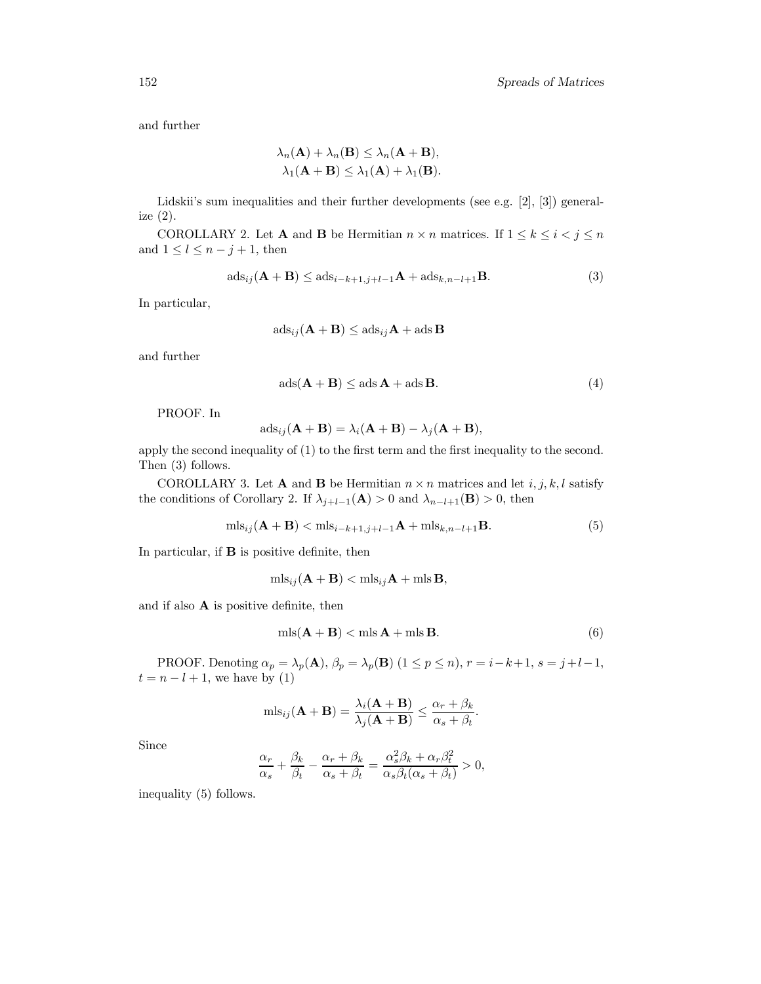and further

$$
\lambda_n(\mathbf{A}) + \lambda_n(\mathbf{B}) \le \lambda_n(\mathbf{A} + \mathbf{B}),
$$
  

$$
\lambda_1(\mathbf{A} + \mathbf{B}) \le \lambda_1(\mathbf{A}) + \lambda_1(\mathbf{B}).
$$

Lidskii's sum inequalities and their further developments (see e.g. [2], [3]) generalize (2).

COROLLARY 2. Let **A** and **B** be Hermitian  $n \times n$  matrices. If  $1 \leq k \leq i < j \leq n$ and  $1 \leq l \leq n-j+1$ , then

$$
\mathrm{ads}_{ij}(\mathbf{A} + \mathbf{B}) \le \mathrm{ads}_{i-k+1,j+l-1}\mathbf{A} + \mathrm{ads}_{k,n-l+1}\mathbf{B}.\tag{3}
$$

In particular,

$$
\mathrm{ads}_{ij}(\mathbf{A} + \mathbf{B}) \leq \mathrm{ads}_{ij}\mathbf{A} + \mathrm{ads}\,\mathbf{B}
$$

and further

$$
ads(\mathbf{A} + \mathbf{B}) \leq ads \mathbf{A} + ads \mathbf{B}.
$$
 (4)

PROOF. In

$$
ads_{ij}(\mathbf{A} + \mathbf{B}) = \lambda_i(\mathbf{A} + \mathbf{B}) - \lambda_j(\mathbf{A} + \mathbf{B}),
$$

apply the second inequality of (1) to the first term and the first inequality to the second. Then (3) follows.

COROLLARY 3. Let **A** and **B** be Hermitian  $n \times n$  matrices and let  $i, j, k, l$  satisfy the conditions of Corollary 2. If  $\lambda_{j+l-1}(\mathbf{A}) > 0$  and  $\lambda_{n-l+1}(\mathbf{B}) > 0$ , then

$$
\text{mls}_{ij}(\mathbf{A} + \mathbf{B}) < \text{mls}_{i-k+1,j+l-1}\mathbf{A} + \text{mls}_{k,n-l+1}\mathbf{B}.\tag{5}
$$

In particular, if B is positive definite, then

$$
\text{mls}_{ij}(\mathbf{A} + \mathbf{B}) < \text{mls}_{ij}\mathbf{A} + \text{mls}\,\mathbf{B},
$$

and if also A is positive definite, then

$$
mls(\mathbf{A} + \mathbf{B}) < mls \mathbf{A} + mls \mathbf{B}.\tag{6}
$$

PROOF. Denoting  $\alpha_p = \lambda_p(\mathbf{A})$ ,  $\beta_p = \lambda_p(\mathbf{B})$   $(1 \le p \le n)$ ,  $r = i - k + 1$ ,  $s = j + l - 1$ ,  $t = n - l + 1$ , we have by (1)

$$
\mathrm{mls}_{ij}(\mathbf{A} + \mathbf{B}) = \frac{\lambda_i(\mathbf{A} + \mathbf{B})}{\lambda_j(\mathbf{A} + \mathbf{B})} \le \frac{\alpha_r + \beta_k}{\alpha_s + \beta_t}.
$$

Since

$$
\frac{\alpha_r}{\alpha_s} + \frac{\beta_k}{\beta_t} - \frac{\alpha_r + \beta_k}{\alpha_s + \beta_t} = \frac{\alpha_s^2 \beta_k + \alpha_r \beta_t^2}{\alpha_s \beta_t (\alpha_s + \beta_t)} > 0,
$$

inequality (5) follows.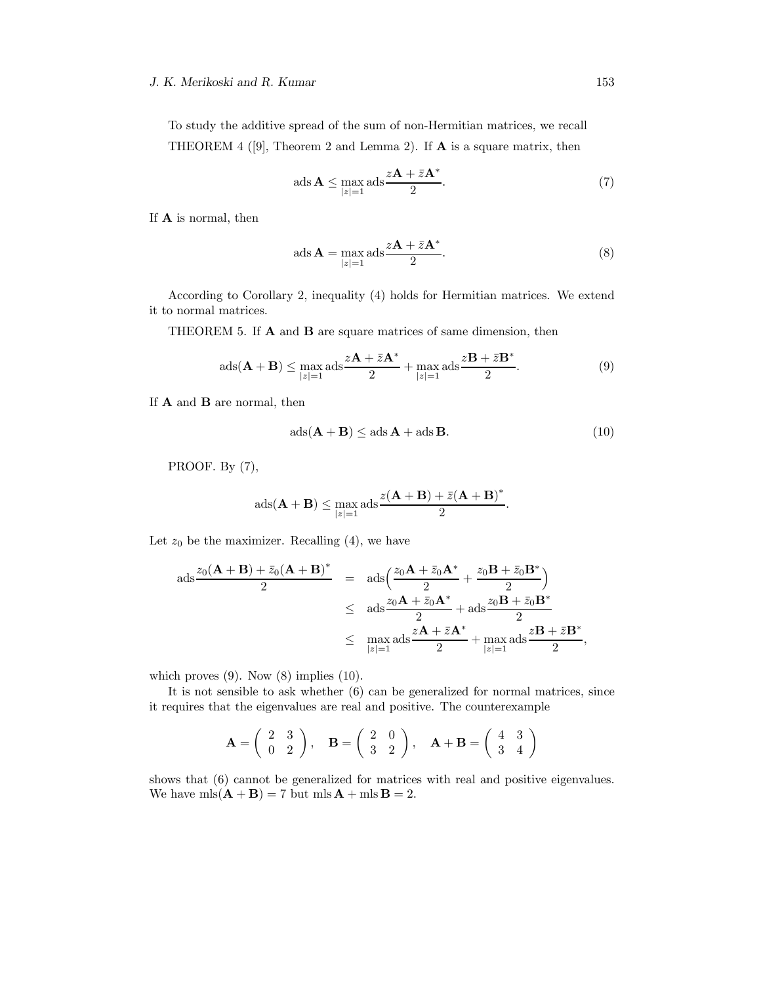#### J. K. Merikoski and R. Kumar 153

To study the additive spread of the sum of non-Hermitian matrices, we recall THEOREM 4 ([9], Theorem 2 and Lemma 2). If  $A$  is a square matrix, then

ads 
$$
\mathbf{A} \le \max_{|z|=1} \text{ads} \frac{z\mathbf{A} + \bar{z}\mathbf{A}^*}{2}
$$
. (7)

If A is normal, then

ads 
$$
\mathbf{A} = \max_{|z|=1} \text{ads} \frac{z\mathbf{A} + \bar{z}\mathbf{A}^*}{2}
$$
. (8)

According to Corollary 2, inequality (4) holds for Hermitian matrices. We extend it to normal matrices.

THEOREM 5. If A and B are square matrices of same dimension, then

$$
ads(\mathbf{A} + \mathbf{B}) \le \max_{|z|=1} ads \frac{z\mathbf{A} + \bar{z}\mathbf{A}^*}{2} + \max_{|z|=1} ads \frac{z\mathbf{B} + \bar{z}\mathbf{B}^*}{2}.
$$
 (9)

If **A** and **B** are normal, then

$$
ads(\mathbf{A} + \mathbf{B}) \leq ads \mathbf{A} + ads \mathbf{B}.
$$
 (10)

PROOF. By (7),

$$
ads(\mathbf{A} + \mathbf{B}) \le \max_{|z|=1} ads \frac{z(\mathbf{A} + \mathbf{B}) + \bar{z}(\mathbf{A} + \mathbf{B})^*}{2}.
$$

Let  $z_0$  be the maximizer. Recalling (4), we have

$$
\begin{array}{rcl} \operatorname{ads}\frac{z_0(\mathbf{A}+\mathbf{B})+\bar{z}_0(\mathbf{A}+\mathbf{B})^*}{2} & = & \operatorname{ads}\left(\frac{z_0\mathbf{A}+\bar{z}_0\mathbf{A}^*}{2}+\frac{z_0\mathbf{B}+\bar{z}_0\mathbf{B}^*}{2}\right) \\ & \leq & \operatorname{ads}\frac{z_0\mathbf{A}+\bar{z}_0\mathbf{A}^*}{2}+\operatorname{ads}\frac{z_0\mathbf{B}+\bar{z}_0\mathbf{B}^*}{2} \\ & \leq & \max_{|z|=1} \operatorname{ads}\frac{z\mathbf{A}+\bar{z}\mathbf{A}^*}{2}+\max_{|z|=1} \operatorname{ads}\frac{z\mathbf{B}+\bar{z}\mathbf{B}^*}{2}, \end{array}
$$

which proves  $(9)$ . Now  $(8)$  implies  $(10)$ .

It is not sensible to ask whether (6) can be generalized for normal matrices, since it requires that the eigenvalues are real and positive. The counterexample

$$
\mathbf{A} = \begin{pmatrix} 2 & 3 \\ 0 & 2 \end{pmatrix}, \quad \mathbf{B} = \begin{pmatrix} 2 & 0 \\ 3 & 2 \end{pmatrix}, \quad \mathbf{A} + \mathbf{B} = \begin{pmatrix} 4 & 3 \\ 3 & 4 \end{pmatrix}
$$

shows that (6) cannot be generalized for matrices with real and positive eigenvalues. We have  $mls(\mathbf{A} + \mathbf{B}) = 7$  but  $mls \mathbf{A} + mls \mathbf{B} = 2$ .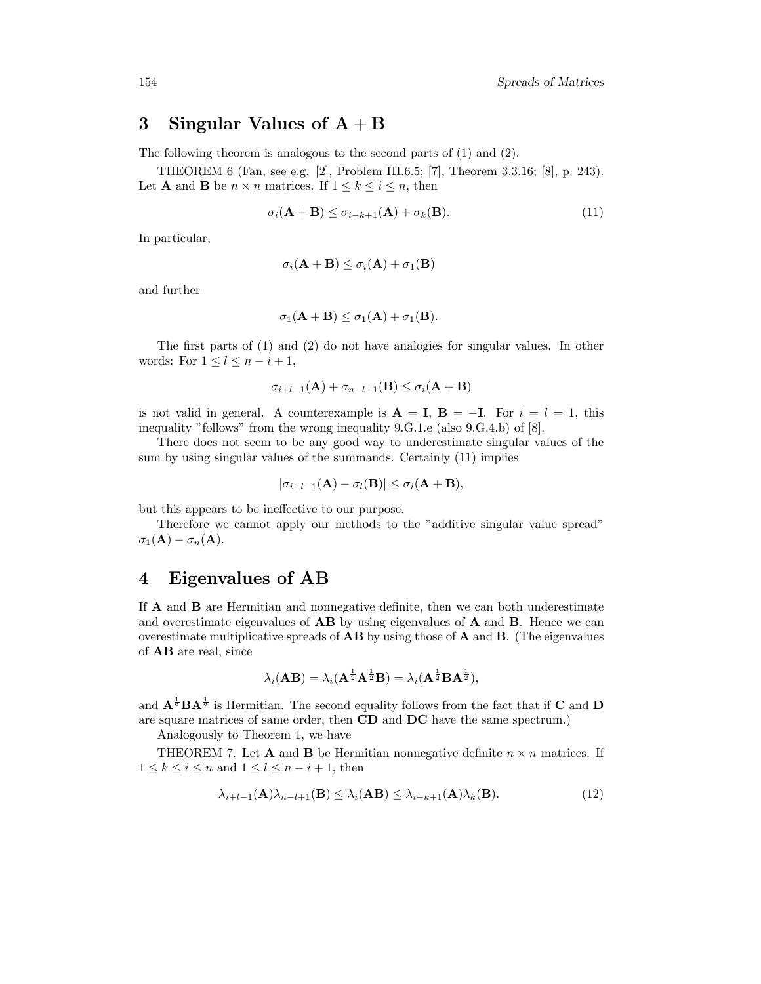### 3 Singular Values of  $A + B$

The following theorem is analogous to the second parts of (1) and (2).

THEOREM 6 (Fan, see e.g. [2], Problem III.6.5; [7], Theorem 3.3.16; [8], p. 243). Let **A** and **B** be  $n \times n$  matrices. If  $1 \leq k \leq i \leq n$ , then

$$
\sigma_i(\mathbf{A} + \mathbf{B}) \le \sigma_{i-k+1}(\mathbf{A}) + \sigma_k(\mathbf{B}). \tag{11}
$$

In particular,

$$
\sigma_i(\mathbf{A} + \mathbf{B}) \le \sigma_i(\mathbf{A}) + \sigma_1(\mathbf{B})
$$

and further

$$
\sigma_1(\mathbf{A} + \mathbf{B}) \leq \sigma_1(\mathbf{A}) + \sigma_1(\mathbf{B}).
$$

The first parts of (1) and (2) do not have analogies for singular values. In other words: For  $1 \leq l \leq n-i+1$ ,

$$
\sigma_{i+l-1}(\mathbf{A}) + \sigma_{n-l+1}(\mathbf{B}) \le \sigma_i(\mathbf{A} + \mathbf{B})
$$

is not valid in general. A counterexample is  $\mathbf{A} = \mathbf{I}$ ,  $\mathbf{B} = -\mathbf{I}$ . For  $i = l = 1$ , this inequality "follows" from the wrong inequality 9.G.1.e (also 9.G.4.b) of [8].

There does not seem to be any good way to underestimate singular values of the sum by using singular values of the summands. Certainly (11) implies

$$
|\sigma_{i+l-1}(\mathbf{A}) - \sigma_l(\mathbf{B})| \leq \sigma_i(\mathbf{A} + \mathbf{B}),
$$

but this appears to be ineffective to our purpose.

Therefore we cannot apply our methods to the "additive singular value spread"  $\sigma_1(\mathbf{A}) - \sigma_n(\mathbf{A}).$ 

### 4 Eigenvalues of AB

If A and B are Hermitian and nonnegative definite, then we can both underestimate and overestimate eigenvalues of  $\mathbf{AB}$  by using eigenvalues of  $\mathbf{A}$  and  $\mathbf{B}$ . Hence we can overestimate multiplicative spreads of AB by using those of A and B. (The eigenvalues of AB are real, since

$$
\lambda_i(\mathbf{AB}) = \lambda_i(\mathbf{A}^{\frac{1}{2}}\mathbf{A}^{\frac{1}{2}}\mathbf{B}) = \lambda_i(\mathbf{A}^{\frac{1}{2}}\mathbf{BA}^{\frac{1}{2}}),
$$

and  $\mathbf{A}^{\frac{1}{2}} \mathbf{B} \mathbf{A}^{\frac{1}{2}}$  is Hermitian. The second equality follows from the fact that if **C** and **D** are square matrices of same order, then CD and DC have the same spectrum.)

Analogously to Theorem 1, we have

THEOREM 7. Let **A** and **B** be Hermitian nonnegative definite  $n \times n$  matrices. If  $1 \leq k \leq i \leq n$  and  $1 \leq l \leq n-i+1$ , then

$$
\lambda_{i+l-1}(\mathbf{A})\lambda_{n-l+1}(\mathbf{B}) \leq \lambda_i(\mathbf{A}\mathbf{B}) \leq \lambda_{i-k+1}(\mathbf{A})\lambda_k(\mathbf{B}).
$$
\n(12)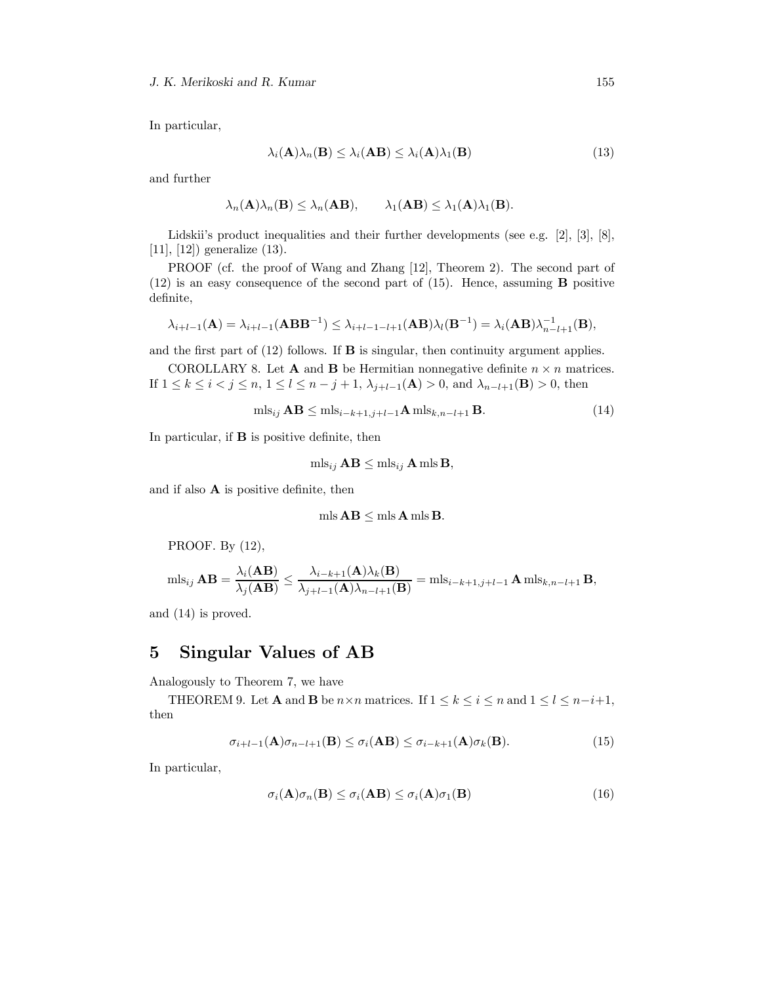In particular,

$$
\lambda_i(\mathbf{A})\lambda_n(\mathbf{B}) \leq \lambda_i(\mathbf{A}\mathbf{B}) \leq \lambda_i(\mathbf{A})\lambda_1(\mathbf{B})
$$
\n(13)

and further

$$
\lambda_n(\mathbf{A})\lambda_n(\mathbf{B}) \leq \lambda_n(\mathbf{A}\mathbf{B}), \qquad \lambda_1(\mathbf{A}\mathbf{B}) \leq \lambda_1(\mathbf{A})\lambda_1(\mathbf{B}).
$$

Lidskii's product inequalities and their further developments (see e.g. [2], [3], [8], [11], [12]) generalize (13).

PROOF (cf. the proof of Wang and Zhang [12], Theorem 2). The second part of  $(12)$  is an easy consequence of the second part of  $(15)$ . Hence, assuming **B** positive definite,

$$
\lambda_{i+l-1}(\mathbf{A}) = \lambda_{i+l-1}(\mathbf{A}\mathbf{B}\mathbf{B}^{-1}) \leq \lambda_{i+l-1-l+1}(\mathbf{A}\mathbf{B})\lambda_l(\mathbf{B}^{-1}) = \lambda_i(\mathbf{A}\mathbf{B})\lambda_{n-l+1}^{-1}(\mathbf{B}),
$$

and the first part of  $(12)$  follows. If **B** is singular, then continuity argument applies.

COROLLARY 8. Let **A** and **B** be Hermitian nonnegative definite  $n \times n$  matrices. If 1 ≤ k ≤ i < j ≤ n, 1 ≤ l ≤ n − j + 1,  $\lambda_{i+l-1}$ (**A**) > 0, and  $\lambda_{n-l+1}$ (**B**) > 0, then

$$
\text{mls}_{ij} \mathbf{AB} \le \text{mls}_{i-k+1,j+l-1} \mathbf{A} \,\text{mls}_{k,n-l+1} \,\mathbf{B}.\tag{14}
$$

In particular, if B is positive definite, then

$$
\mathrm{mls}_{ij} \mathbf{AB} \leq \mathrm{mls}_{ij} \mathbf{A} \mathrm{mls} \mathbf{B},
$$

and if also  $A$  is positive definite, then

$$
\mathrm{mls}\,\mathbf{AB} \leq \mathrm{mls}\,\mathbf{A}\,\mathrm{mls}\,\mathbf{B}.
$$

PROOF. By (12),

$$
\mathrm{mls}_{ij} \mathbf{AB} = \frac{\lambda_i(\mathbf{AB})}{\lambda_j(\mathbf{AB})} \le \frac{\lambda_{i-k+1}(\mathbf{A})\lambda_k(\mathbf{B})}{\lambda_{j+l-1}(\mathbf{A})\lambda_{n-l+1}(\mathbf{B})} = \mathrm{mls}_{i-k+1,j+l-1} \mathbf{A} \mathrm{mls}_{k,n-l+1} \mathbf{B},
$$

and (14) is proved.

### 5 Singular Values of AB

Analogously to Theorem 7, we have

THEOREM 9. Let **A** and **B** be  $n \times n$  matrices. If  $1 \leq k \leq i \leq n$  and  $1 \leq l \leq n-i+1$ , then

$$
\sigma_{i+l-1}(\mathbf{A})\sigma_{n-l+1}(\mathbf{B}) \le \sigma_i(\mathbf{A}\mathbf{B}) \le \sigma_{i-k+1}(\mathbf{A})\sigma_k(\mathbf{B}). \tag{15}
$$

In particular,

$$
\sigma_i(\mathbf{A})\sigma_n(\mathbf{B}) \le \sigma_i(\mathbf{A}\mathbf{B}) \le \sigma_i(\mathbf{A})\sigma_1(\mathbf{B})
$$
\n(16)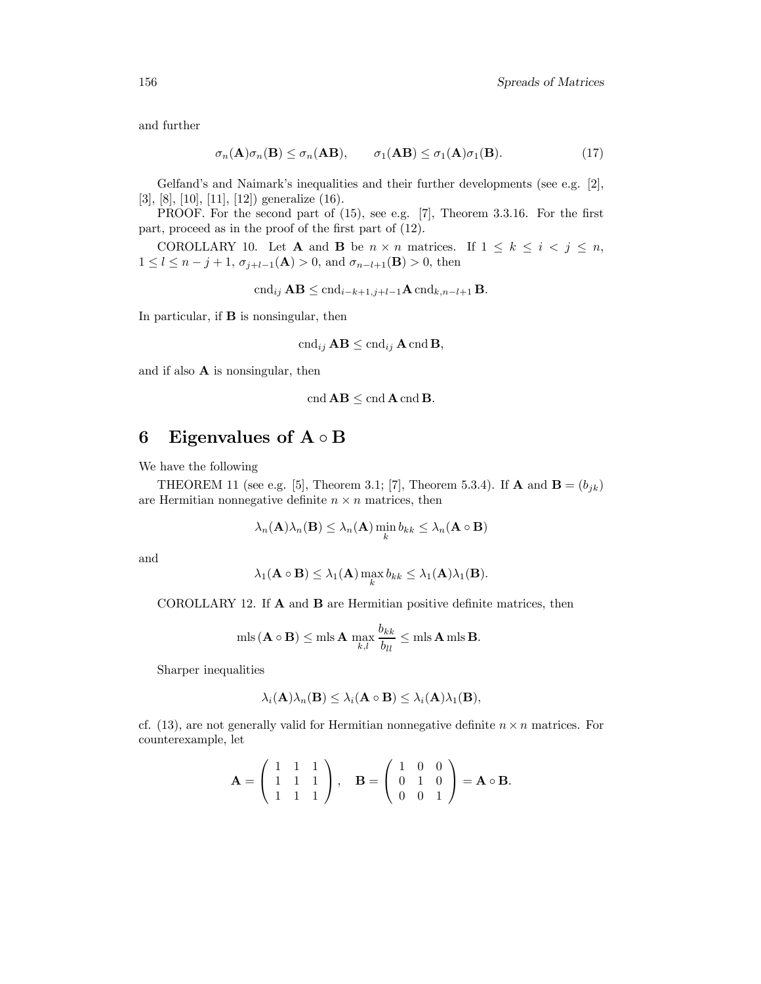and further

$$
\sigma_n(\mathbf{A})\sigma_n(\mathbf{B}) \le \sigma_n(\mathbf{A}\mathbf{B}), \qquad \sigma_1(\mathbf{A}\mathbf{B}) \le \sigma_1(\mathbf{A})\sigma_1(\mathbf{B}). \tag{17}
$$

Gelfand's and Naimark's inequalities and their further developments (see e.g. [2], [3], [8], [10], [11], [12]) generalize (16).

PROOF. For the second part of (15), see e.g. [7], Theorem 3.3.16. For the first part, proceed as in the proof of the first part of (12).

COROLLARY 10. Let **A** and **B** be  $n \times n$  matrices. If  $1 \leq k \leq i \leq j \leq n$ ,  $1 \leq l \leq n-j+1$ ,  $\sigma_{j+l-1}(\mathbf{A}) > 0$ , and  $\sigma_{n-l+1}(\mathbf{B}) > 0$ , then

$$
\mathrm{cnd}_{ij} \mathbf{AB} \leq \mathrm{cnd}_{i-k+1,j+l-1} \mathbf{A} \mathrm{cnd}_{k,n-l+1} \mathbf{B}.
$$

In particular, if B is nonsingular, then

$$
\operatorname{cnd}_{ij} \mathbf{AB} \leq \operatorname{cnd}_{ij} \mathbf{A} \operatorname{cnd} \mathbf{B},
$$

and if also A is nonsingular, then

$$
\operatorname{cnd} \mathbf{AB} \leq \operatorname{cnd} \mathbf{A} \operatorname{cnd} \mathbf{B}.
$$

#### 6 Eigenvalues of  $A \circ B$

We have the following

THEOREM 11 (see e.g. [5], Theorem 3.1; [7], Theorem 5.3.4). If **A** and **B** =  $(b_{jk})$ are Hermitian nonnegative definite  $n \times n$  matrices, then

$$
\lambda_n(\mathbf{A})\lambda_n(\mathbf{B}) \leq \lambda_n(\mathbf{A})\min_k b_{kk} \leq \lambda_n(\mathbf{A} \circ \mathbf{B})
$$

and

$$
\lambda_1(\mathbf{A} \circ \mathbf{B}) \leq \lambda_1(\mathbf{A}) \max_{k} b_{kk} \leq \lambda_1(\mathbf{A}) \lambda_1(\mathbf{B}).
$$

COROLLARY 12. If A and B are Hermitian positive definite matrices, then

$$
\mathrm{mls}(\mathbf{A} \circ \mathbf{B}) \le \mathrm{mls} \mathbf{A} \max_{k,l} \frac{b_{kk}}{b_{ll}} \le \mathrm{mls} \mathbf{A} \mathrm{mls} \mathbf{B}.
$$

Sharper inequalities

$$
\lambda_i(\mathbf{A})\lambda_n(\mathbf{B}) \leq \lambda_i(\mathbf{A} \circ \mathbf{B}) \leq \lambda_i(\mathbf{A})\lambda_1(\mathbf{B}),
$$

cf. (13), are not generally valid for Hermitian nonnegative definite  $n \times n$  matrices. For counterexample, let

$$
\mathbf{A} = \left( \begin{array}{rrr} 1 & 1 & 1 \\ 1 & 1 & 1 \\ 1 & 1 & 1 \end{array} \right), \quad \mathbf{B} = \left( \begin{array}{rrr} 1 & 0 & 0 \\ 0 & 1 & 0 \\ 0 & 0 & 1 \end{array} \right) = \mathbf{A} \circ \mathbf{B}.
$$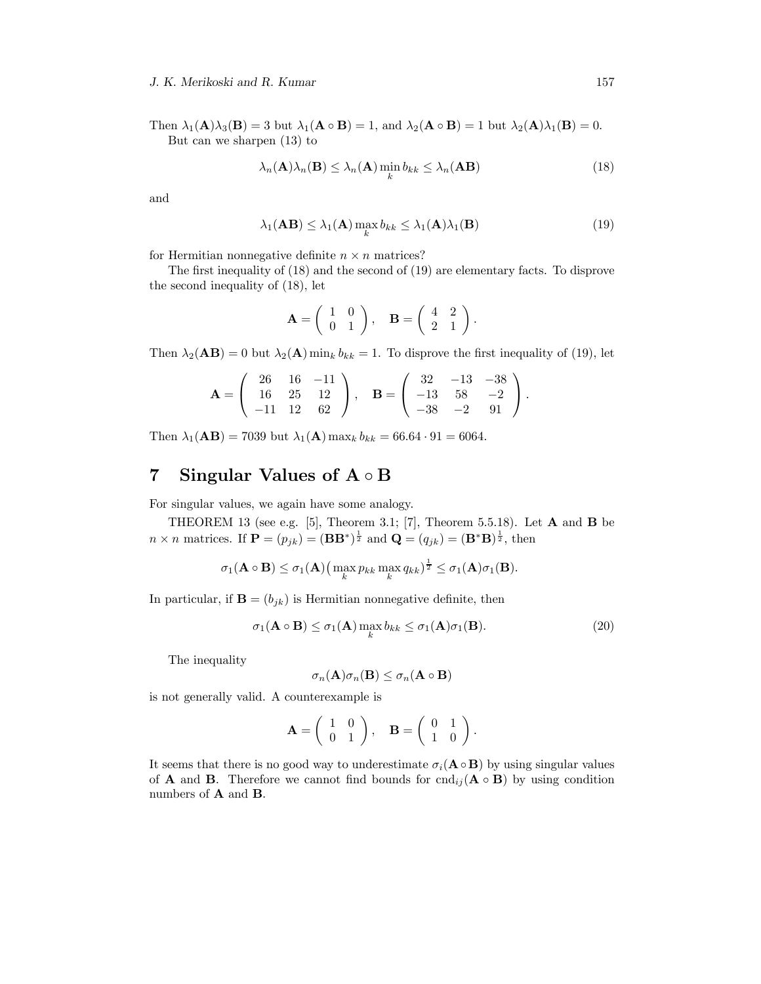Then  $\lambda_1(\mathbf{A})\lambda_3(\mathbf{B}) = 3$  but  $\lambda_1(\mathbf{A} \circ \mathbf{B}) = 1$ , and  $\lambda_2(\mathbf{A} \circ \mathbf{B}) = 1$  but  $\lambda_2(\mathbf{A})\lambda_1(\mathbf{B}) = 0$ . But can we sharpen (13) to

$$
\lambda_n(\mathbf{A})\lambda_n(\mathbf{B}) \le \lambda_n(\mathbf{A})\min_k b_{kk} \le \lambda_n(\mathbf{A}\mathbf{B})
$$
\n(18)

and

$$
\lambda_1(\mathbf{AB}) \leq \lambda_1(\mathbf{A}) \max_k b_{kk} \leq \lambda_1(\mathbf{A}) \lambda_1(\mathbf{B})
$$
\n(19)

for Hermitian nonnegative definite  $n \times n$  matrices?

The first inequality of (18) and the second of (19) are elementary facts. To disprove the second inequality of (18), let

$$
\mathbf{A} = \left( \begin{array}{cc} 1 & 0 \\ 0 & 1 \end{array} \right), \quad \mathbf{B} = \left( \begin{array}{cc} 4 & 2 \\ 2 & 1 \end{array} \right).
$$

Then  $\lambda_2(AB) = 0$  but  $\lambda_2(A)$  min<sub>k</sub>  $b_{kk} = 1$ . To disprove the first inequality of (19), let

$$
\mathbf{A} = \left( \begin{array}{ccc} 26 & 16 & -11 \\ 16 & 25 & 12 \\ -11 & 12 & 62 \end{array} \right), \quad \mathbf{B} = \left( \begin{array}{ccc} 32 & -13 & -38 \\ -13 & 58 & -2 \\ -38 & -2 & 91 \end{array} \right).
$$

Then  $\lambda_1(AB) = 7039$  but  $\lambda_1(A)$  max<sub>k</sub>  $b_{kk} = 66.64 \cdot 91 = 6064$ .

# 7 Singular Values of A ◦ B

For singular values, we again have some analogy.

THEOREM 13 (see e.g. [5], Theorem 3.1; [7], Theorem 5.5.18). Let  $A$  and  $B$  be  $n \times n$  matrices. If  $\mathbf{P} = (p_{jk}) = (\mathbf{B}\mathbf{B}^*)^{\frac{1}{2}}$  and  $\mathbf{Q} = (q_{jk}) = (\mathbf{B}^*\mathbf{B})^{\frac{1}{2}}$ , then

$$
\sigma_1(\mathbf{A} \circ \mathbf{B}) \leq \sigma_1(\mathbf{A}) \big( \max_k p_{kk} \max_k q_{kk} \big)^{\frac{1}{2}} \leq \sigma_1(\mathbf{A}) \sigma_1(\mathbf{B}).
$$

In particular, if  $\mathbf{B} = (b_{jk})$  is Hermitian nonnegative definite, then

$$
\sigma_1(\mathbf{A} \circ \mathbf{B}) \le \sigma_1(\mathbf{A}) \max_k b_{kk} \le \sigma_1(\mathbf{A}) \sigma_1(\mathbf{B}). \tag{20}
$$

The inequality

$$
\sigma_n(\mathbf{A})\sigma_n(\mathbf{B}) \leq \sigma_n(\mathbf{A} \circ \mathbf{B})
$$

is not generally valid. A counterexample is

$$
\mathbf{A} = \left( \begin{array}{cc} 1 & 0 \\ 0 & 1 \end{array} \right), \quad \mathbf{B} = \left( \begin{array}{cc} 0 & 1 \\ 1 & 0 \end{array} \right).
$$

It seems that there is no good way to underestimate  $\sigma_i(\mathbf{A} \circ \mathbf{B})$  by using singular values of **A** and **B**. Therefore we cannot find bounds for  $\text{cnd}_{ij}(\mathbf{A} \circ \mathbf{B})$  by using condition numbers of **A** and **B**.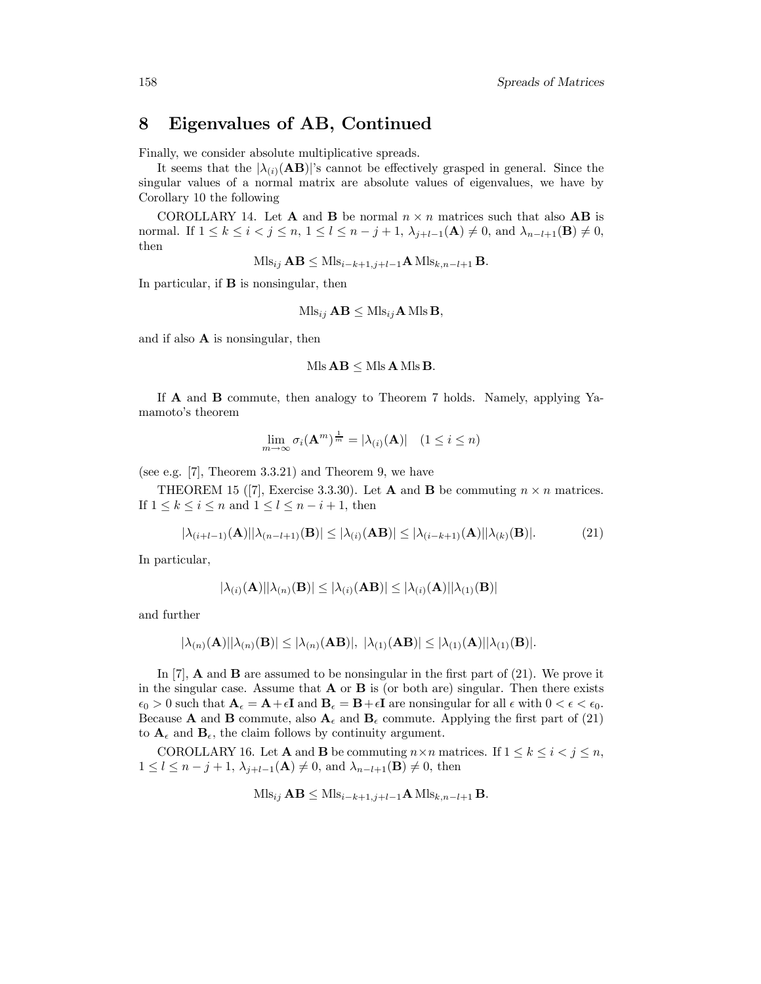### 8 Eigenvalues of AB, Continued

Finally, we consider absolute multiplicative spreads.

It seems that the  $|\lambda_{(i)}(AB)|$ 's cannot be effectively grasped in general. Since the singular values of a normal matrix are absolute values of eigenvalues, we have by Corollary 10 the following

COROLLARY 14. Let **A** and **B** be normal  $n \times n$  matrices such that also **AB** is normal. If  $1 \leq k \leq i < j \leq n$ ,  $1 \leq l \leq n-j+1$ ,  $\lambda_{j+l-1}(\mathbf{A}) \neq 0$ , and  $\lambda_{n-l+1}(\mathbf{B}) \neq 0$ , then

 $Mls_{ij} AB \leq Mls_{i-k+1,j+l-1}A Mls_{k,n-l+1}B.$ 

In particular, if B is nonsingular, then

$$
\mathrm{Mls}_{ij} \mathbf{AB} \leq \mathrm{Mls}_{ij} \mathbf{A} \, \mathrm{Mls} \, \mathbf{B},
$$

and if also A is nonsingular, then

$$
Mls \mathbf{AB} \leq Mls \mathbf{A} Mls \mathbf{B}.
$$

If A and B commute, then analogy to Theorem 7 holds. Namely, applying Yamamoto's theorem

$$
\lim_{m \to \infty} \sigma_i(\mathbf{A}^m)^{\frac{1}{m}} = |\lambda_{(i)}(\mathbf{A})| \quad (1 \le i \le n)
$$

(see e.g. [7], Theorem 3.3.21) and Theorem 9, we have

THEOREM 15 ([7], Exercise 3.3.30). Let **A** and **B** be commuting  $n \times n$  matrices. If  $1 \leq k \leq i \leq n$  and  $1 \leq l \leq n-i+1$ , then

$$
|\lambda_{(i+l-1)}(\mathbf{A})||\lambda_{(n-l+1)}(\mathbf{B})| \le |\lambda_{(i)}(\mathbf{A}\mathbf{B})| \le |\lambda_{(i-k+1)}(\mathbf{A})||\lambda_{(k)}(\mathbf{B})|.
$$
 (21)

In particular,

$$
|\lambda_{(i)}(\mathbf{A})||\lambda_{(n)}(\mathbf{B})| \leq |\lambda_{(i)}(\mathbf{A}\mathbf{B})| \leq |\lambda_{(i)}(\mathbf{A})||\lambda_{(1)}(\mathbf{B})|
$$

and further

$$
|\lambda_{(n)}(\mathbf{A})||\lambda_{(n)}(\mathbf{B})| \leq |\lambda_{(n)}(\mathbf{A}\mathbf{B})|, |\lambda_{(1)}(\mathbf{A}\mathbf{B})| \leq |\lambda_{(1)}(\mathbf{A})||\lambda_{(1)}(\mathbf{B})|.
$$

In  $[7]$ , **A** and **B** are assumed to be nonsingular in the first part of  $(21)$ . We prove it in the singular case. Assume that  $\bf{A}$  or  $\bf{B}$  is (or both are) singular. Then there exists  $\epsilon_0 > 0$  such that  $\mathbf{A}_{\epsilon} = \mathbf{A} + \epsilon \mathbf{I}$  and  $\mathbf{B}_{\epsilon} = \mathbf{B} + \epsilon \mathbf{I}$  are nonsingular for all  $\epsilon$  with  $0 < \epsilon < \epsilon_0$ . Because **A** and **B** commute, also  $A_{\epsilon}$  and  $B_{\epsilon}$  commute. Applying the first part of (21) to  $\mathbf{A}_{\epsilon}$  and  $\mathbf{B}_{\epsilon}$ , the claim follows by continuity argument.

COROLLARY 16. Let **A** and **B** be commuting  $n \times n$  matrices. If  $1 \leq k \leq i < j \leq n$ ,  $1 \leq l \leq n-j+1$ ,  $\lambda_{j+l-1}(\mathbf{A}) \neq 0$ , and  $\lambda_{n-l+1}(\mathbf{B}) \neq 0$ , then

$$
\text{Mls}_{ij} \mathbf{AB} \leq \text{Mls}_{i-k+1,j+l-1} \mathbf{A} \text{Mls}_{k,n-l+1} \mathbf{B}.
$$